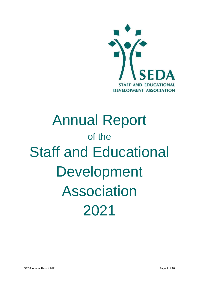

# Annual Report of the Staff and Educational Development Association 2021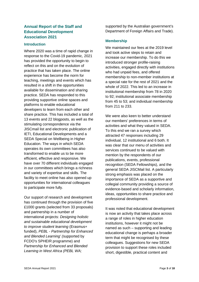# **Annual Report of the Staff and Educational Development Association 2021**

#### **Introduction**

Where 2020 was a time of rapid change in response to the Covid-19 pandemic, 2021 has provided the opportunity to begin to reflect on this and on the evolution of practice that has taken place. The online experience has become the norm for teaching, meetings and events which has resulted in a shift in the opportunities available for dissemination and sharing practice. SEDA has responded to this providing supportive online spaces and platforms to enable educational developers to learn from each other and share practice. This has included a total of 13 events and 22 blogposts, as well as the stimulating correspondence via the JISCmail list and electronic publication of IETI, Educational Developments and a SEDA Special on Wellbeing in Higher Education. The ways in which SEDA operates its own committees has also transformed to enable us to be more efficient, effective and responsive. We have over 70 different individuals engaged in our committees which brings a richness and variety of expertise and skills. The facility to meet online has also opened up opportunities for international colleagues to participate more fully.

Our support of research and development has continued through the provision of five £1000 grants (selected from 33 proposals) and partnership in a number of international projects: *Designing holistic and sustainable educational development to improve student learning* (Erasmus+ funded), *PEBL - Partnership for Enhanced and Blended Learning' (*supported by FCDO's SPHEIR programme) and *Partnership for Enhanced and Blended Learning in West Africa (PEBL WA;* 

supported by the Australian government's Department of Foreign Affairs and Trade).

### **Membership**

We maintained our fees at the 2019 level and took active steps to retain and increase our membership. To do this we introduced stronger profile-raising activities, engaged directly with institutions who had unpaid fees, and offered membership to non-member institutions at a special rate for the rest of 2021 and the whole of 2022. This led to an increase in institutional membership from 78 in 2020 to 92; institutional associate membership from 45 to 53; and individual membership from 211 to 233.

We were also keen to better understand our members' preferences in terms of activities and what they valued in SEDA. To this end we ran a survey which attracted 47 responses including 29 individual, 12 institutional and 6 both. It was clear that our menu of activities and services continued to be valued with mention by the respondents of our publications, events, professional recognition (SEDA Fellowships), and the general SEDA JISCMail list. A particularly strong emphasis was placed on the importance of SEDA as a supportive and collegial community providing a source of evidence-based and scholarly information, ideas, opportunities to share practice and professional development.

It was noted that educational development is now an activity that takes place across a range of roles in higher education institutions, however it might not be named as such – supporting and leading educational change is perhaps a broader term that might be recognised by these colleagues. Suggestions for new SEDA provision to support these roles included short, digestible, practical content and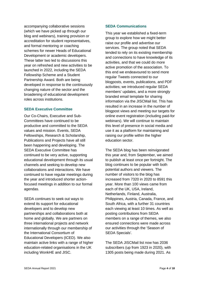accompanying collaborative sessions (which we have picked up through our blog and webinars), training provision or accreditation for student representatives, and formal mentoring or coaching schemes for newer Heads of Educational Development or academic developers. These latter two led to discussions this year on refreshed and new activities to be launched in 2022, including the SEDA Fellowship Scheme and a Student Partnership Award. Both are being developed in response to the continuously changing nature of the sector and the broadening of educational development roles across institutions.

#### **SEDA Executive Committee**

Our Co-Chairs, Executive and Sub-Committees have continued to be productive and committed to the SEDA values and mission. Events, SEDA Fellowships, Research & Scholarship, Publications and Projects have all still been happening and developing. The SEDA Executive Committee has continued to be very active, supporting educational development through its usual channels and seeking to develop new collaborations and interactions. We have continued to have regular meetings during the year and introduced shorter actionfocused meetings in addition to our formal agendas.

SEDA continues to seek out ways to extend its support for educational developers and to develop new partnerships and collaborations both at home and globally. We are partners on three international projects and network internationally through our membership of the International Consortium of Educational Developers (ICED). We also maintain active links with a range of higher education-related organisations in the UK including WonkHE and JISC.

#### **SEDA Communications**

This year we established a fixed-term group to explore how we might better raise our profile and advertise our services. The group noted that SEDA tended to rely on its existing membership and connections to have knowledge of its activities, and that we could do more active promotion of the association. To this end we endeavoured to send more regular Tweets connected to our blogposts, events, publications, and PDF activities; we introduced regular SEDA members' updates, and a more strongly branded email template for sharing information via the JISCMail list. This has resulted in an increase in the number of blogpost views and meeting our targets for online event registration (including paid-for webinars). We will continue to maintain this level of presence in social media and use it as a platform for maintaining and raising our profile within the higher education sector.

The SEDA blog has been reinvigorated this year and, from September, we aimed to publish at least once per fortnight. The blog continues to be popular with both potential authors and viewers. The number of visitors to the blog has increased from 7320 in 2020 to 8591 this year. More than 100 views came from each of the UK, USA, Ireland, Netherlands, Finland, Australia, Philippines, Austria, Canada, France, and South Africa, with a further 31 countries each viewing at least 10 times. As well as posting contributions from SEDA members on a range of themes, we also ensured connections were made across our activities through the 'Season of SEDA Specials'.

The SEDA JISCMail list now has 2036 subscribers (up from 1923 in 2020), with 1305 posts being made during 2021. As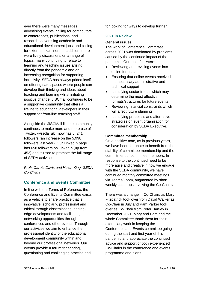ever there were many messages advertising events, calling for contributors to conferences, publications, and research; advertising academic and educational development jobs; and calling for external examiners. In addition, there were lively discussions on a range of topics, many continuing to relate to learning and teaching issues arising directly from the pandemic and an increasing recognition for supporting inclusivity. SEDA has always prided itself on offering safe spaces where people can develop their thinking and ideas about teaching and learning whilst initiating positive change. JISCmail continues to be a supportive community that offers a lifeline to educational developers in their support for front-line teaching staff.

Alongside the JISCMail list the community continues to make more and more use of Twitter. @seda\_uk\_ now has 6, 241 followers (an increase on the 5,998 followers last year). Our LinkedIn page has 658 followers on LinkedIn (up from 453) and is used to promote the full range of SEDA activities.

*Profs Carole Davis and Helen King, SEDA Co-Chairs*

# **Conference and Events Committee**

In line with the Terms of Reference, the Conference and Events Committee exists as a vehicle to share practice that is innovative, scholarly, professional and ethical through disseminating leadingedge developments and facilitating networking opportunities through conferences and other events. Through our activities we aim to enhance the professional identity of the educational development community within and beyond our professional networks. Our events provide a forum for sharing, questioning and challenging practice and

for looking for ways to develop further.

#### **2021 in Review**

#### **General issues**

The work of Conference Committee across 2021 was dominated by problems caused by the continued impact of the pandemic. Our main foci were:

- Reviewing and revising events into online formats
- Ensuring that online events received the necessary administrative and technical support
- Identifying sector trends which may determine the most effective formats/structures for future events
- Reviewing financial constraints which will affect future planning
- Identifying proposals and alternative strategies on event organisation for consideration by SEDA Executive.

#### **Committee membership**

On a positive note, as in previous years, we have been fortunate to benefit from the stability of committee membership and the commitment of committee members. In response to the continued need to be more agile and creative in how we engage with the SEDA community, we have continued monthly committee meetings via Teams/Zoom, augmented by short weekly catch-ups involving the Co-Chairs.

There was a change in Co-Chairs as Mary Fitzpatrick took over from David Walker as Co-Chair in July and Pam Parker took over as Co-Chair from Peter Hartley in December 2021. Mary and Pam and the whole Committee thank them for their exemplary work in keeping the Conference and Events committee going during the start and first year of this pandemic and appreciate the continued advice and support of both experienced Co-Chairs in the conference and events programme and plans.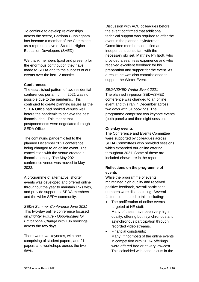To continue to develop relationships across the sector, Catriona Cunningham has become a member of the Committee as a representative of Scottish Higher Education Developers (SHED).

We thank members (past and present) for the enormous contribution they have made to SEDA and to the success of our events over the last 12 months.

#### **Conferences**

The established pattern of two residential conferences per annum in 2021 was not possible due to the pandemic. This continued to create planning issues as the SEDA Office had booked venues well before the pandemic to achieve the best financial deal. This meant that postponements were negotiated through SEDA Office.

The continuing pandemic led to the planned December 2021 conference being changed to an online event. The cancellation with the venue created a financial penalty. The May 2021 conference venue was moved to May 2022.

A programme of alternative, shorter events was developed and offered online throughout the year to maintain links with, and provide support to, SEDA members and the wider SEDA community.

*SEDA Summer Conference June 2021* This two-day online conference focused on *Brighter Future - Opportunities for Educational Change* with 106 bookings across the two days.

There were two keynotes, with one comprising of student papers, and 21 papers and workshops across the two days.

Discussion with ACU colleagues before the event confirmed that additional technical support was required to offer the event in the planned style/format. Committee members identified an independent consultant with the necessary skillset, Matthew Phillpott, who provided a seamless experience and who received excellent feedback for his preparation and support for the event. As a result, he was also commissioned to support the Winter Event.

#### *SEDA/SHED Winter Event 2021*

The planned in-person SEDA/SHED conference was changed to an online event and this ran in December across two days with 51 bookings. The programme comprised two keynote events (both panels) and then eight sessions.

#### **One-day events**

The Conference and Events Committee were supported by colleagues across SEDA Committees who provided sessions which expanded our online offering throughout 2021. Some of these are included elsewhere in the report.

## **Reflections on the programme of events**

While the programme of events maintained high quality and received positive feedback, overall participant numbers were disappointing. Several factors contributed to this, including:

- The proliferation of online events targeted at HE staff: Many of these have been very highquality, offering both synchronous and asynchronous participation through recorded video streams.
- Financial constraints: Many (if not most) of the online events in competition with SEDA offerings were offered free or at very low-cost. This coincided with serious cuts in the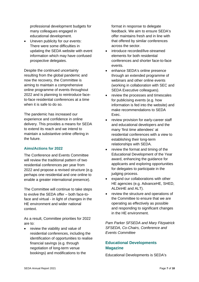professional development budgets for many colleagues engaged in educational development.

• Uneven publicity for our events: There were some difficulties in updating the SEDA website with event information which may have confused prospective delegates.

Despite the continued uncertainty resulting from the global pandemic and now the recovery, the Committee is aiming to maintain a comprehensive online programme of events throughout 2022 and is planning to reintroduce faceto-face residential conferences at a time when it is safe to do so.

The pandemic has increased our experience and confidence in online delivery. This provides a means for SEDA to extend its reach and we intend to maintain a substantive online offering in the future.

# **Aims/Actions for 2022**

The Conference and Events Committee will review the traditional pattern of two residential conferences per year from 2022 and propose a revised structure (e.g. perhaps one residential and one online to enable a greater international presence).

The Committee will continue to take steps to evolve the SEDA offer – both face-toface and virtual - in light of changes in the HE environment and wider national context.

As a result, Committee priorities for 2022 are to:

• review the viability and value of residential conferences, including the identification of opportunities to realise financial savings (e.g. through negotiation of long-term venue bookings) and modifications to the

format in response to delegate feedback. We aim to ensure SEDA's offer maintains fresh and in line with that offered by similar conferences across the sector.

- introduce recorded/live-streamed elements for both residential conferences and shorter face-to-face events.
- enhance SEDA's online presence through an extended programme of webinars and other online events (working in collaboration with SEC and SEDA Executive colleagues).
- review the processes and timescales for publicising events (e.g. how information is fed into the website) and make recommendations to SEDA Exec.
- review provision for early-career staff and educational developers and the many 'first time attendees' at residential conferences with a view to establishing their long-term relationships with SEDA.
- review the format and timing of the Educational Development of the Year award, enhancing the guidance for applicants and exploring opportunities for delegates to participate in the judging process.
- expand our collaborations with other HE agencies (e.g. AdvanceHE, SHED, ALDinHE and ALT).
- review the structure and operations of the Committee to ensure that we are operating as effectively as possible and responding to significant changes in the HE environment.

*Pam Parker SFSEDA and Mary Fitzpatrick SFSEDA, Co-Chairs, Conference and Events Committee*

# **Educational Developments Magazine**

Educational Developments is SEDA's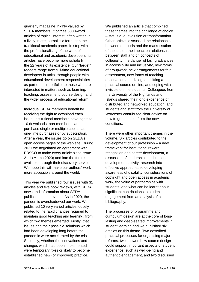quarterly magazine, highly valued by SEDA members. It carries 3000-word articles of topical interest, often written in a lively, more journalistic form than the traditional academic paper. In step with the professionalising of the work of educational and academic developers, its articles have become more scholarly in the 22 years of its existence. Our "target" readers range from full-time educational developers in units, through people with educational development responsibilities as part of their portfolio, to those who are interested in matters such as learning, teaching, assessment, course design and the wider process of educational reform.

Individual SEDA members benefit by receiving the right to download each issue; institutional members have rights to 10 downloads; non-members can purchase single or multiple copies, as one-time purchases or by subscription. After a year, the issues go on SEDA's open access pages of the web site. During 2021 we negotiated an agreement with EBSCO to make every article since issue 21.1 (March 2020) and into the future, available through their discovery service. We hope this will make our authors' work more accessible around the world.

This year we published four issues with 31 articles and five book reviews, with SEDA news and information about SEDA publications and events. As in 2020, the pandemic overshadowed our work. We published 10 very varied articles loosely related to the rapid changes required to maintain good teaching and learning, from which two themes emerged. Firstly, that issues and their possible solutions which had been developing long before the pandemic were accelerated by the crisis. Secondly, whether the innovations and changes which had been implemented were temporary fixes or likely to become established new (or improved) practice.

We published an article that combined these themes into the challenge of choice – status quo, evolution or transformation. Other articles discussed the relationship between the crisis and the marketisation of the sector, the impact on relationships between staff and on concepts of collegiality, the danger of losing advances in accessibility and inclusivity, new forms of groupwork, new arrangements for fair assessment, new forms of teaching observation and dialogue, shifting a practical course on-line, and coping with invisible on-line students. Colleagues from the University of the Highlands and Islands shared their long experience of distributed and networked education, and students and staff from the University of Worcester contributed clear advice on how to get the best from the new conditions.

There were other important themes in the volume. Six articles contributed to the development of our profession – a new framework for institutional reward, recognition and career development, a discussion of leadership in educational development activity, research into effective approaches to developing awareness of disability, considerations of copyright and open access in academic work, the value of partnerships with students, and what can be learnt about significant contributions to student engagement from an analysis of a bibliography.

The processes of programme and curriculum design are at the core of longlasting and deep-seated improvements in student learning and we published six articles on this theme. Two described practical processes for organising major reforms, two showed how course design could support important aspects of student experience, such as well-being and authentic engagement, and two discussed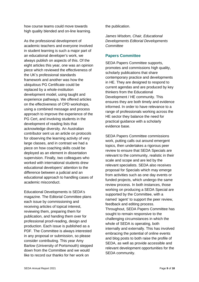how course teams could move towards high quality blended and on-line learning.

As the professional development of academic teachers and everyone involved in student learning is such a major part of an educational developer's work, we always publish on aspects of this. Of the eight articles this year, one was an opinion piece which reviewed the effectiveness of the UK's professional standards framework and another was how the ubiquitous PG Certificate could be replaced by a whole-institution development model, using taught and experience pathways. We offered articles on the effectiveness of CPD workshops, using a combined message and process approach to improve the experience of the PG Cert, and involving students in the development of reading lists that acknowledge diversity. An Australian contributor sent us an article on protocols for observing the learning activity of very large classes, and in contrast we had a piece on how coaching skills could be deployed as an element in dissertation supervision. Finally, two colleagues who worked with international students drew educational developers' attention to the difference between a judicial and an educational approach to handling cases of academic misconduct.

Educational Developments is SEDA's magazine. The Editorial Committee plans each issue by commissioning and receiving articles of topical interest, reviewing them, preparing them for publication, and handing them over for professional proof-reading, design and production. Each issue is published as a PDF. The Committee is always interested in any proposal or submission, so please consider contributing. This year Amy Barlow (University of Portsmouth) stepped down from the Committee and we would like to record our thanks for her work on

the publication.

*James Wisdom, Chair, Educational Developments Editorial Developments Committee*

## **Papers Committee**

SEDA Papers Committee supports, promotes and commissions high quality, scholarly publications that share contemporary practice and developments in HE. They are designed to respond to current agendas and are produced by key thinkers from the Educational Development / HE community. This ensures they are both timely and evidence informed. In order to have relevance to a range of professionals working across the HE sector they balance the need for practical guidance with a scholarly evidence base.

SEDA Papers Committee commissions work, putting calls out around emergent topics, then undertakes a rigorous peer review to ensure that SEDA Specials are relevant to the community, realistic in their scale and scope and are led by the relevant specialists. SEDA also receives proposal for Specials which may emerge from activities such as one day events or funded projects, which undergo the same review process. In both instances, those working on producing a SEDA Special are supported by the Committee, with a named 'agent' to support the peer review, feedback and editing process. Throughout, SEDA Papers Committee has sought to remain responsive to the challenging circumstances in which the whole of SEDA is operating, both internally and externally. This has involved embracing the potential of online events and blog posts to both raise the profile of SEDA, as well as provide accessible and relevant development opportunities for the SEDA community.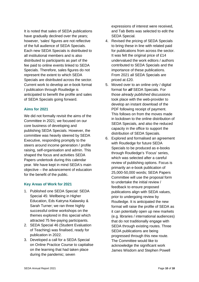It is noted that sales of SEDA publications have gradually declined over the years; however, 'sales' figures are not reflective of the full audience of SEDA Specials. Each new SEDA Specials is distributed to all institutional members and is also distributed to participants as part of the fee paid to online events linked to SEDA Specials. Therefore, sales figures do not represent the extent to which SEDA Specials are distributed across the sector. Current work to develop an e-book format / publication through Routledge is anticipated to benefit the profile and sales of SEDA Specials going forward.

#### **Aims for 2021**

We did not formally revisit the aims of the Committee in 2021; we focused on our core business of developing and publishing SEDA Specials. However, the committee was heavily steered by SEDA Executive, responding promptly to the steers around income generation / profile raising, self-organisation and admin. This shaped the focus and activities SEDA Papers undertook during this calendar year. We have kept in mind SEDA's main objective – the advancement of education for the benefit of the public.

#### **Key Areas of Work for 2021**

- 1. Published one SEDA Special: SEDA Special 45: Wellbeing in Higher Education, Eds Katryna Kalawsky & Sarah Turner; we ran three highly successful online workshops on the themes explored in this special which attracted 75 fee-paying participants.
- 2. SEDA Special 46 (Student Evaluation of Teaching) was finalised, ready for publication in 2022.
- 3. Developed a call for a SEDA Special on Online Practice Course to capitalise on the learning that had taken place during the pandemic; seven

expressions of interest were received, and Tab Betts was selected to edit the SEDA Special.

- 4. Revised the pricing of SEDA Specials to bring these in line with related paid for publications from across the sector. It was felt the original price of £14 undervalued the work editors / authors contributed to SEDA Specials and the importance of these publications. From 2021 all SEDA Specials are priced at £20.
- 5. Moved over to an online only / digital format for *all* SEDA Specials. For those *already published* discussions took place with the web-provider to develop an instant download of the PDF following receipt of payment. This follows on from the moves made in lockdown to the online distribution of SEDA Specials, and also the reduced capacity in the office to support the distribution of SEDA Specials.
- 6. Explored and formalised an agreement with Routledge for future SEDA Specials to be produced as e-books through Routledge's 'Focus' series, which was selected after a careful review of publishing options. Focus is primarily an e-book publication of 25,000-50,000 words; SEDA Papers Committee will use the proposal form to undertake the initial review / feedback to ensure proposed publications align with SEDA values, prior to undergoing review by Routledge. It is anticipated the new format will raise the profile of SEDA as it can potentially open up new markets (e.g. libraries / international audiences) that do not traditionally engage with SEDA through existing routes. Three SEDA publications are being progressed through this new route. The Committee would like to acknowledge the significant work James Wisdom and Stephen Powell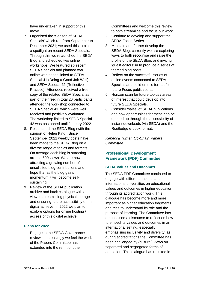have undertaken in support of this move.

- 7. Organised the 'Season of SEDA Specials' which ran from September to December 2021; we used this to place a spotlight on recent SEDA Specials. Through this we relaunched the SEDA Blog and scheduled two online workshops. We featured six recent SEDA Specials and planned two online workshops linked to SEDA Special 41 (Doing a Good Job Well) and SEDA Special 42 (Reflective Practice). Attendees received a free copy of the related SEDA Special as part of their fee; in total 26 participants attended the workshop connected to SEDA Special 41, which were well received and positively evaluated. The workshop linked to SEDA Special 42 was postponed until January 2022.
- 8. Relaunched the SEDA Blog (with the support of Helen King). Since September 2021 weekly posts have been made to the SEDA Blog on a diverse range of topics and formats. On average each blog is attracting around 600 views. We are now attracting a growing number of unsolicited blog contributions and hope that as the blog gains momentum it will become selfsustaining.
- 9. Review of the SEDA publication archive and back catalogue with a view to streamlining physical storage and ensuring future accessibility of the digital achieve. In 2022 we plan to explore options for online hosting / access of this digital achieve.

#### **Plans for 2022**

1. Engage in the SEDA Governance review – increasingly we feel the work of the Papers Committee has extended into the remit of other

Committees and welcome this review to both streamline and focus our work.

- 2. Continue to develop and support the SEDA Focus Series.
- 3. Maintain and further develop the SEDA Blog; currently we are exploring ways to both recognise and raise the profile of the SEDA Blog, and inviting 'guest editors' in to produce a series of themed blog posts.
- 4. Reflect on the successful series of online events connected to SEDA Specials and build on this format for future Focus publications.
- 5. Horizon scan for future topics / areas of interest that could develop into future SEDA Specials.
- 6. Consider 'sales' of SEDA publications and how opportunities for these can be opened up through the accessibility of instant downloads (via SEDA) and the Routledge e-book format.

*Rebecca Turner, Co-Chair, Papers Committee*

# **Professional Development Framework (PDF) Committee**

#### **SEDA Values and Outcomes**

The SEDA PDF Committee continued to engage with different national and international universities on educational values and outcomes in higher education through its accreditation work. This dialogue has become more and more important as higher education fragments and tries to understand its role and the purpose of learning. The Committee has emphasised a discourse to reflect on how to embed its values and outcomes in an international setting, especially emphasising inclusivity and diversity, as during accreditations the Committee has been challenged by (cultural) views on separated and segregated forms of education. This dialogue has resulted in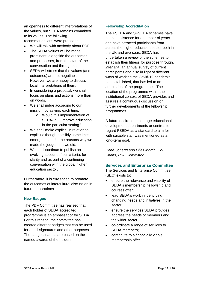an openness to different interpretations of the values, but SEDA remains committed to its values. The following recommendations were proposed:

- We will talk with anybody about PDF.
- The SEDA values will be made prominent, alongside the outcomes and processes, from the start of the conversation and throughout.
- SEDA will stress that the values (and outcomes) are not negotiable. However, we are happy to discuss local interpretations of them.
- In considering a proposal, we shall focus on plans and actions more than on words.
- We shall judge according to our mission, by asking, each time:
	- o Would this implementation of SEDA-PDF improve education in the particular setting?
- We shall make explicit, in relation to explicit although possibly sometimes emergent criteria, the reasons why we made the judgement we did.
- We shall continue to publish an evolving account of our criteria, for clarity and as part of a continuing conversation with the global higher education sector.

Furthermore, it is envisaged to promote the outcomes of intercultural discussion in future publications.

#### **New Badges**

The PDF Committee has realised that each holder of SEDA accredited programme is an ambassador for SEDA. For this reason, the committee has created different badges that can be used for email signatures and other purposes. The badges' names are based on the named awards of the holders.

## **Fellowship Accreditation**

The FSEDA and SFSEDA schemes have been in existence for a number of years and have attracted participants from across the higher education sector both in the UK and overseas. SEDA has undertaken a review of the schemes to establish their fitness for purpose through, *inter alia*, an annual survey of current participants and also in light of different ways of working the Covid-19 pandemic has established, that has led to an adaptation of the programmes. The location of the programme within the institutional context of SEDA provides and assures a continuous discussion on further developments of the fellowship programmes.

A future desire to encourage educational development departments or centres to regard FSEDA as a standard to aim for with suitable staff was mentioned as a long-term goal.

*René Schegg and Giles Martin, Co-Chairs, PDF Committee*

# **Services and Enterprise Committee**

The Services and Enterprise Committee (SEC) exists to:

- ensure the relevance and viability of SEDA's membership, fellowship and courses offer;
- lead SEDA's work in identifying changing needs and initiatives in the sector;
- ensure the services SEDA provides address the needs of members and the wider sector;
- co-ordinate a range of services to SEDA members;
- contribute to a financially viable membership offer.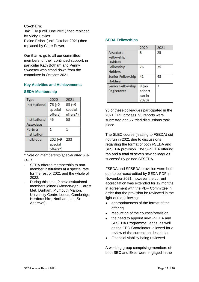## **Co-chairs:**

Jaki Lilly (until June 2021) then replaced by Vicky Davies. Elaine Fisher (until October 2021) then replaced by Clare Power.

Our thanks go to all our committee members for their continued support, in particular Kath Botham and Penny Sweasey who stood down from the committee in October 2021.

## **Key Activities and Achievements**

#### **SEDA Membership**

| <b>Type</b>   | 2020       | 2021      |
|---------------|------------|-----------|
| Institutional | $76 (+2)$  | $83 (+9)$ |
|               | special    | special   |
|               | offers)    | offers*)  |
| Institutional | 45         | 53        |
| Associate     |            |           |
| Partner       | 1          | 1         |
| Institution   |            |           |
| Individual    | $202 (+9)$ | 233       |
|               | special    |           |
|               | offers*)   |           |

*\* Note on membership special offer July 2021*

- SEDA offered membership to nonmember institutions at a special rate for the rest of 2021 and the whole of 2022.
- During this time, 9 new institutional members joined (Aberystwyth, Cardiff Met, Durham, Plymouth Marjon, University Centre Leeds, Cambridge, Hertfordshire, Northampton, St Andrews).

#### **SEDA Fellowships**

|                   | 2020    | 2021 |
|-------------------|---------|------|
| Associate         | 8       | 25   |
| Fellowship        |         |      |
| Holders           |         |      |
| Fellowship        | 76      | 75   |
| Holders           |         |      |
| Senior Fellowship | 41      | 43   |
| Holders           |         |      |
| Senior Fellowship | $9$ (no | 7    |
| Registrants       | cohort  |      |
|                   | ran in  |      |
|                   | 2020)   |      |

93 of these colleagues participated in the 2021 CPD process. 93 reports were submitted and 27 triad discussions took place.

The SLEC course (leading to FSEDA) did not run in 2021 due to discussions regarding the format of both FSEDA and SFSEDA provision. The SFSEDA offering ran and a total of seven new colleagues successfully gained SFSEDA.

FSEDA and SFSEDA provision were both due to be reaccredited by SEDA-PDF in November 2021, however the current accreditation was extended for 12 months in agreement with the PDF Committee in order that the provision be reviewed in the light of the following:

- appropriateness of the format of the offering
- resourcing of the courses/provision
- the need to appoint new FSEDA and SFSEDA Programme Leads, as well as the CPD Coordinator, allowed for a review of the current job description
- Financial viability being reviewed

A working group comprising members of both SEC and Exec were engaged in the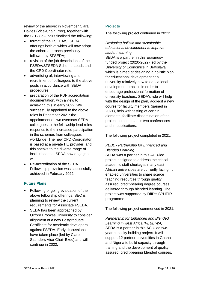review of the above: in November Clara Davies (Vice-Chair Exec), together with the SEC Co-Chairs finalised the following:

- format of the FSEDA/SFSEDA offerings both of which will now adopt the cohort approach previously followed by SFSEDA;
- revision of the job descriptions of the FSEDA/SFSEDA Scheme Leads and the CPD Coordinator role;
- advertising of, interviewing and recruitment of colleagues to the above posts in accordance with SEDA procedures
- preparation of the PDF accreditation documentation, with a view to achieving this in early 2022. We successfully appointed to the above roles in December 2021: the appointment of two overseas SEDA colleagues to the fellowship lead roles responds to the increased participation in the schemes from colleagues worldwide. The new CPD Coordinator is based at a private HE provider, and this speaks to the diverse range of institutions that SEDA now engages with.
- Re-accreditation of the SEDA Fellowship provision was successfully achieved in February 2022.

#### **Future Plans**

- Following ongoing evaluation of the above fellowship offerings, SEC is planning to review the current requirements for Associate FSEDA.
- SEDA has been approached by Oxford Brookes University to consider alignment of a new Postgraduate Certificate for academic developers against FSEDA. Early discussions have taken place (led by Clare Saunders Vice-Chair Exec) and will continue in 2022.

#### **Projects**

The following project continued in 2021:

# *Designing holistic and sustainable educational development to improve student learning*

SEDA is a partner in this Erasmus+ funded project (2020-2022) led by the University of Economics in Bratislava, which is aimed at designing a holistic plan for educational development at a university relatively new to educational development practice in order to encourage professional formation of university teachers. SEDA's role will help with the design of the plan, accredit a new course for faculty members (gained in 2021), help with testing of certain elements, facilitate dissemination of the project outcomes at its two conferences and in publications.

The following project completed in 2021:

# *PEBL - Partnership for Enhanced and Blended Learning*

SEDA was a partner in this ACU-led project designed to address the critical academic staff shortages many east African universities are currently facing. It enabled universities to share scarce teaching resources through quality assured, credit-bearing degree courses, delivered through blended learning. The project was supported by DfID's SPHEIR programme.

The following project commenced in 2021:

*Partnership for Enhanced and Blended Learning in west Africa (PEBL WA)* SEDA is a partner in this ACU-led twoyear capacity building project. It will support 12 partner universities in Ghana and Nigeria to build capacity through training and the development of quality assured, credit-bearing blended courses.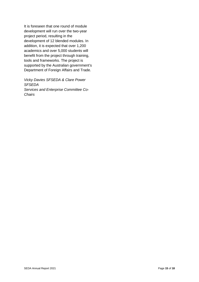It is foreseen that one round of module development will run over the two-year project period, resulting in the development of 12 blended modules. In addition, it is expected that over 1,200 academics and over 5,000 students will benefit from the project through training, tools and frameworks. The project is supported by the Australian government's Department of Foreign Affairs and Trade.

*Vicky Davies SFSEDA & Clare Power SFSEDA Services and Enterprise Committee Co-Chairs*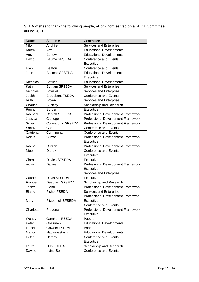SEDA wishes to thank the following people, all of whom served on a SEDA Committee during 2021.

| Name          | Surname                   | Committee                          |  |
|---------------|---------------------------|------------------------------------|--|
| Nikki         | Anghileri                 | Services and Enterprise            |  |
| Karen         | Arm                       | <b>Educational Developments</b>    |  |
| Amy           | <b>Barlow</b>             | <b>Educational Developments</b>    |  |
| David         | <b>Baume SFSEDA</b>       | <b>Conference and Events</b>       |  |
|               |                           | Executive                          |  |
| Fran          | <b>Beaton</b>             | <b>Conference and Events</b>       |  |
| John          | <b>Bostock SFSEDA</b>     | <b>Educational Developments</b>    |  |
|               |                           | Executive                          |  |
| Nicholas      | <b>Botfield</b>           | <b>Educational Developments</b>    |  |
| Kath          | <b>Botham SFSEDA</b>      | Services and Enterprise            |  |
| Nicholas      | <b>Bowskill</b>           | Services and Enterprise            |  |
| Judith        | <b>Broadbent FSEDA</b>    | Conference and Events              |  |
| Ruth          | <b>Brown</b>              | Services and Enterprise            |  |
| Charles       | <b>Buckley</b>            | Scholarship and Research           |  |
| Penny         | <b>Burden</b>             | Executive                          |  |
| Rachael       | <b>Carkett SFSEDA</b>     | Professional Development Framework |  |
| Jessica       | Claridge                  | Professional Development Framework |  |
| Silvia        | Colaiacomo SFSEDA         | Professional Development Framework |  |
| Sandy         | Cope                      | <b>Conference and Events</b>       |  |
| Catriona      | Cunningham                | <b>Conference and Events</b>       |  |
| Roisin        | Curran                    | Professional Development Framework |  |
|               |                           | Executive                          |  |
| Rachel        | Curzon                    | Professional Development Framework |  |
| Nigel         | Dandy                     | <b>Conference and Events</b>       |  |
|               |                           | Executive                          |  |
| Clara         | Davies SFSEDA             | Executive                          |  |
| Vicky         | <b>Davies</b>             | Professional Development Framework |  |
|               |                           | Executive                          |  |
|               |                           | Services and Enterprise            |  |
| Carole        | Davis SFSEDA              | Executive                          |  |
| Frances       | Deepwell SFSEDA           | Scholarship and Research           |  |
| Jenny         | Eland                     | Professional Development Framework |  |
| Elaine        | Fisher FSEDA              | Services and Enterprise            |  |
|               |                           | Professional Development Framework |  |
| Mary          | <b>Fitzpatrick SFSEDA</b> | Executive                          |  |
|               |                           | <b>Conference and Events</b>       |  |
| Charlotte     | Fregona                   | Professional Development Framework |  |
|               |                           | Executive                          |  |
| Wendy         | Garnham FSEDA             | Papers                             |  |
| Peter         | Gossman                   | <b>Educational Developments</b>    |  |
| Isobel        | <b>Gowers FSEDA</b>       | Papers                             |  |
| <b>Marios</b> | Hadjianastasis            | <b>Educational Developments</b>    |  |
| Peter         | Hartley                   | <b>Conference and Events</b>       |  |
|               |                           | Executive                          |  |
| Laura         | Hills FSEDA               | Scholarship and Research           |  |
| Dawne         | Irving-Bell               | <b>Conference and Events</b>       |  |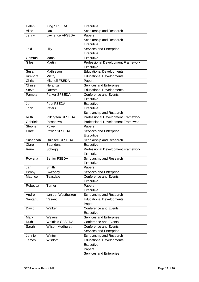| Helen        | King SFSEDA             | Executive                                 |  |
|--------------|-------------------------|-------------------------------------------|--|
| Alice        | Lau                     | Scholarship and Research                  |  |
| Jenny        | Lawrence AFSEDA         | Papers                                    |  |
|              |                         | Scholarship and Research                  |  |
|              |                         | Executive                                 |  |
| Jaki         | Lilly                   | Services and Enterprise                   |  |
|              |                         | Executive                                 |  |
| Gemma        | Mansi                   | Executive                                 |  |
| Giles        | Martin                  | Professional Development Framework        |  |
|              |                         | Executive                                 |  |
| Susan        | Mathieson               | <b>Educational Developments</b>           |  |
| Virendra     | Mistry                  | <b>Educational Developments</b>           |  |
| Chris        | Mitchell FSEDA          | Papers                                    |  |
| Chrissi      | Nerantzi                | Services and Enterprise                   |  |
| <b>Steve</b> | Outram                  | <b>Educational Developments</b>           |  |
| Pamela       | Parker SFSEDA           | <b>Conference and Events</b>              |  |
|              |                         | Executive                                 |  |
| Jo           | Peat FSEDA              | Executive                                 |  |
| John         | Peters                  | Executive                                 |  |
|              |                         | Scholarship and Research                  |  |
| Ruth         | Pilkington SFSEDA       | <b>Professional Development Framework</b> |  |
| Gabriela     | Pleschova               | Professional Development Framework        |  |
| Stephen      | Powell                  | Papers                                    |  |
| Clare        | Power SFSEDA            | Services and Enterprise                   |  |
|              |                         | Executive                                 |  |
| Susannah     | Quinsee SFSEDA          | Scholarship and Research                  |  |
| Clare        | Saunders                | Executive                                 |  |
| René         | Schegg                  | Professional Development Framework        |  |
|              |                         | Executive                                 |  |
| Rowena       | Senior FSEDA            | Scholarship and Research                  |  |
|              |                         | Executive                                 |  |
| Jan          | Smith                   | Papers                                    |  |
| Penny        | Sweasey                 | Services and Enterprise                   |  |
| Maurice      | Teasdale                | <b>Conference and Events</b>              |  |
|              |                         | Executive                                 |  |
| Rebecca      | Turner                  | Papers                                    |  |
|              |                         | Executive                                 |  |
| André        | van der Westhuizen      | Scholarship and Research                  |  |
| Santanu      | Vasant                  | <b>Educational Developments</b>           |  |
|              |                         | Papers                                    |  |
| David        | Walker                  | <b>Conference and Events</b>              |  |
|              |                         | Executive                                 |  |
| Mark         | Weyers                  | Services and Enterprise                   |  |
| Ruth         | <b>Whitfield SFSEDA</b> | <b>Conference and Events</b>              |  |
| Sarah        | Wilson-Medhurst         | <b>Conference and Events</b>              |  |
|              |                         | Services and Enterprise                   |  |
| Jennie       | Winter                  | Scholarship and Research                  |  |
| James        | Wisdom                  | <b>Educational Developments</b>           |  |
|              |                         | Executive                                 |  |
|              |                         | Papers                                    |  |
|              |                         | Services and Enterprise                   |  |